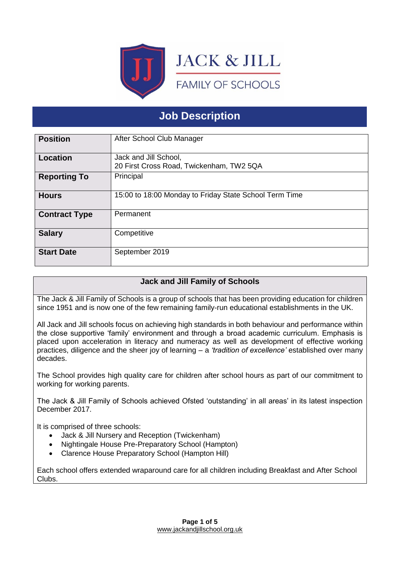

# **Job Description**

| <b>Position</b>      | After School Club Manager                                         |
|----------------------|-------------------------------------------------------------------|
| <b>Location</b>      | Jack and Jill School,<br>20 First Cross Road, Twickenham, TW2 5QA |
| <b>Reporting To</b>  | Principal                                                         |
| <b>Hours</b>         | 15:00 to 18:00 Monday to Friday State School Term Time            |
| <b>Contract Type</b> | Permanent                                                         |
| <b>Salary</b>        | Competitive                                                       |
| <b>Start Date</b>    | September 2019                                                    |

## **Jack and Jill Family of Schools**

The Jack & Jill Family of Schools is a group of schools that has been providing education for children since 1951 and is now one of the few remaining family-run educational establishments in the UK.

All Jack and Jill schools focus on achieving high standards in both behaviour and performance within the close supportive 'family' environment and through a broad academic curriculum. Emphasis is placed upon acceleration in literacy and numeracy as well as development of effective working practices, diligence and the sheer joy of learning – a *'tradition of excellence'* established over many decades.

The School provides high quality care for children after school hours as part of our commitment to working for working parents.

The Jack & Jill Family of Schools achieved Ofsted 'outstanding' in all areas' in its latest inspection December 2017.

It is comprised of three schools:

- Jack & Jill Nursery and Reception (Twickenham)
- Nightingale House Pre-Preparatory School (Hampton)
- Clarence House Preparatory School (Hampton Hill)

Each school offers extended wraparound care for all children including Breakfast and After School Clubs.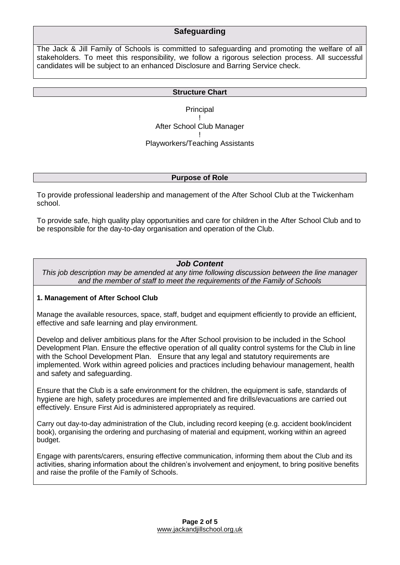## **Safeguarding**

The Jack & Jill Family of Schools is committed to safeguarding and promoting the welfare of all stakeholders. To meet this responsibility, we follow a rigorous selection process. All successful candidates will be subject to an enhanced Disclosure and Barring Service check.

#### **Structure Chart**

Principal ! After School Club Manager ! Playworkers/Teaching Assistants

#### **Purpose of Role**

To provide professional leadership and management of the After School Club at the Twickenham school.

To provide safe, high quality play opportunities and care for children in the After School Club and to be responsible for the day-to-day organisation and operation of the Club.

## *Job Content*

*This job description may be amended at any time following discussion between the line manager and the member of staff to meet the requirements of the Family of Schools*

#### **1. Management of After School Club**

Manage the available resources, space, staff, budget and equipment efficiently to provide an efficient, effective and safe learning and play environment.

Develop and deliver ambitious plans for the After School provision to be included in the School Development Plan. Ensure the effective operation of all quality control systems for the Club in line with the School Development Plan. Ensure that any legal and statutory requirements are implemented. Work within agreed policies and practices including behaviour management, health and safety and safeguarding.

Ensure that the Club is a safe environment for the children, the equipment is safe, standards of hygiene are high, safety procedures are implemented and fire drills/evacuations are carried out effectively. Ensure First Aid is administered appropriately as required.

Carry out day-to-day administration of the Club, including record keeping (e.g. accident book/incident book), organising the ordering and purchasing of material and equipment, working within an agreed budget.

Engage with parents/carers, ensuring effective communication, informing them about the Club and its activities, sharing information about the children's involvement and enjoyment, to bring positive benefits and raise the profile of the Family of Schools.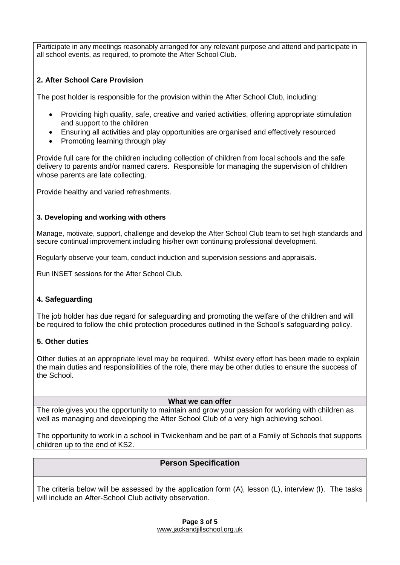Participate in any meetings reasonably arranged for any relevant purpose and attend and participate in all school events, as required, to promote the After School Club.

## **2. After School Care Provision**

The post holder is responsible for the provision within the After School Club, including:

- Providing high quality, safe, creative and varied activities, offering appropriate stimulation and support to the children
- Ensuring all activities and play opportunities are organised and effectively resourced
- Promoting learning through play

Provide full care for the children including collection of children from local schools and the safe delivery to parents and/or named carers. Responsible for managing the supervision of children whose parents are late collecting.

Provide healthy and varied refreshments.

#### **3. Developing and working with others**

Manage, motivate, support, challenge and develop the After School Club team to set high standards and secure continual improvement including his/her own continuing professional development.

Regularly observe your team, conduct induction and supervision sessions and appraisals.

Run INSET sessions for the After School Club.

### **4. Safeguarding**

The job holder has due regard for safeguarding and promoting the welfare of the children and will be required to follow the child protection procedures outlined in the School's safeguarding policy.

### **5. Other duties**

Other duties at an appropriate level may be required. Whilst every effort has been made to explain the main duties and responsibilities of the role, there may be other duties to ensure the success of the School.

#### **What we can offer**

The role gives you the opportunity to maintain and grow your passion for working with children as well as managing and developing the After School Club of a very high achieving school.

The opportunity to work in a school in Twickenham and be part of a Family of Schools that supports children up to the end of KS2.

### **Person Specification**

The criteria below will be assessed by the application form (A), lesson (L), interview (I). The tasks will include an After-School Club activity observation.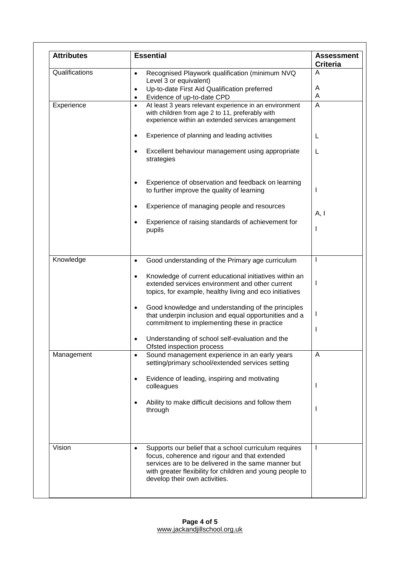| <b>Attributes</b> | <b>Essential</b>                                                                                                                                                                                                                                                         | <b>Assessment</b><br><b>Criteria</b> |  |
|-------------------|--------------------------------------------------------------------------------------------------------------------------------------------------------------------------------------------------------------------------------------------------------------------------|--------------------------------------|--|
| Qualifications    | Recognised Playwork qualification (minimum NVQ<br>$\bullet$<br>Level 3 or equivalent)<br>Up-to-date First Aid Qualification preferred<br>$\bullet$                                                                                                                       | A<br>A                               |  |
|                   | Evidence of up-to-date CPD<br>$\bullet$                                                                                                                                                                                                                                  | A                                    |  |
| Experience        | At least 3 years relevant experience in an environment<br>$\bullet$<br>with children from age 2 to 11, preferably with<br>experience within an extended services arrangement                                                                                             | A                                    |  |
|                   | Experience of planning and leading activities<br>$\bullet$                                                                                                                                                                                                               | L                                    |  |
|                   | Excellent behaviour management using appropriate<br>strategies                                                                                                                                                                                                           | L                                    |  |
|                   | Experience of observation and feedback on learning<br>to further improve the quality of learning                                                                                                                                                                         |                                      |  |
|                   | Experience of managing people and resources                                                                                                                                                                                                                              | A, I                                 |  |
|                   | Experience of raising standards of achievement for<br>pupils                                                                                                                                                                                                             |                                      |  |
| Knowledge         | Good understanding of the Primary age curriculum<br>$\bullet$                                                                                                                                                                                                            | L                                    |  |
|                   | Knowledge of current educational initiatives within an<br>$\bullet$<br>extended services environment and other current<br>topics, for example, healthy living and eco initiatives                                                                                        |                                      |  |
|                   | Good knowledge and understanding of the principles<br>that underpin inclusion and equal opportunities and a<br>commitment to implementing these in practice                                                                                                              | J.                                   |  |
|                   | Understanding of school self-evaluation and the                                                                                                                                                                                                                          |                                      |  |
| Management        | Ofsted inspection process<br>Sound management experience in an early years<br>setting/primary school/extended services setting                                                                                                                                           | A                                    |  |
|                   | Evidence of leading, inspiring and motivating<br>colleagues                                                                                                                                                                                                              |                                      |  |
|                   | Ability to make difficult decisions and follow them<br>through                                                                                                                                                                                                           |                                      |  |
| Vision            | Supports our belief that a school curriculum requires<br>$\bullet$<br>focus, coherence and rigour and that extended<br>services are to be delivered in the same manner but<br>with greater flexibility for children and young people to<br>develop their own activities. |                                      |  |